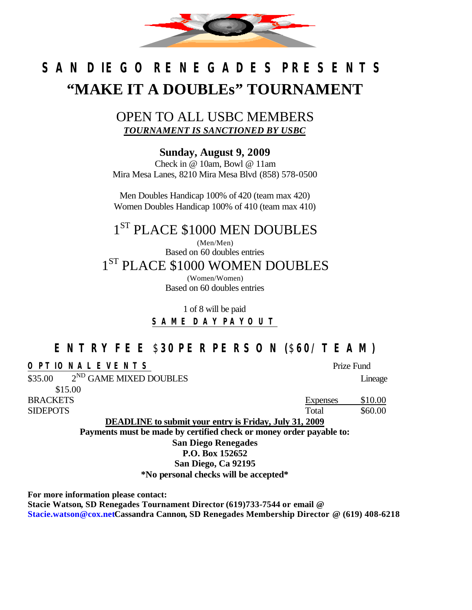

# *SAN DIEGO RENEGADES PRESENTS* **"MAKE IT A DOUBLEs" TOURNAMENT**

### OPEN TO ALL USBC MEMBERS *TOURNAMENT IS SANCTIONED BY USBC*

**Sunday, August 9, 2009**

Check in @ 10am, Bowl @ 11am Mira Mesa Lanes, 8210 Mira Mesa Blvd (858) 578-0500

Men Doubles Handicap 100% of 420 (team max 420) Women Doubles Handicap 100% of 410 (team max 410)

## $1^\mathrm{ST}$  PLACE \$1000 MEN DOUBLES

(Men/Men) Based on 60 doubles entries  $1^\mathrm{ST}$  PLACE \$1000 WOMEN DOUBLES

(Women/Women) Based on 60 doubles entries

1 of 8 will be paid **SAME DAY PAYOUT**

### **ENTRY FEE** \$**30 PER PERSON (**\$**60/ TEAM)**

#### *OPTIONAL EVENTS* Prize Fund

 $$35.00$  $2^{ND}$  GAME MIXED DOUBLES Lineage \$15.00

BRACKETS Expenses \$10.00 SIDEPOTS Total \$60.00

**DEADLINE to submit your entry is Friday, July 31, 2009 Payments must be made by certified check or money order payable to: San Diego Renegades P.O. Box 152652 San Diego, Ca 92195**

**\*No personal checks will be accepted\***

**For more information please contact:**

**Stacie Watson, SD Renegades Tournament Director (619)733-7544 or email @ Stacie.watson@cox.netCassandra Cannon, SD Renegades Membership Director @ (619) 408-6218**